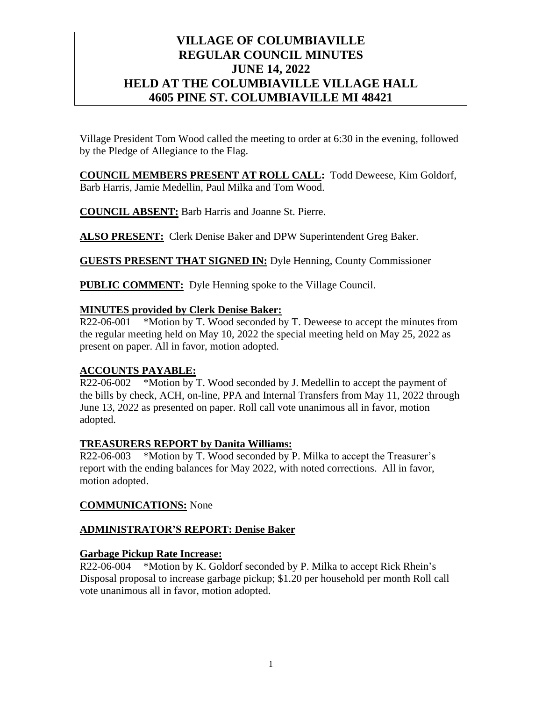# **VILLAGE OF COLUMBIAVILLE REGULAR COUNCIL MINUTES JUNE 14, 2022 HELD AT THE COLUMBIAVILLE VILLAGE HALL 4605 PINE ST. COLUMBIAVILLE MI 48421**

Village President Tom Wood called the meeting to order at 6:30 in the evening, followed by the Pledge of Allegiance to the Flag.

**COUNCIL MEMBERS PRESENT AT ROLL CALL:** Todd Deweese, Kim Goldorf, Barb Harris, Jamie Medellin, Paul Milka and Tom Wood.

**COUNCIL ABSENT:** Barb Harris and Joanne St. Pierre.

**ALSO PRESENT:** Clerk Denise Baker and DPW Superintendent Greg Baker.

**GUESTS PRESENT THAT SIGNED IN:** Dyle Henning, County Commissioner

**PUBLIC COMMENT:** Dyle Henning spoke to the Village Council.

## **MINUTES provided by Clerk Denise Baker:**

R22-06-001 \*Motion by T. Wood seconded by T. Deweese to accept the minutes from the regular meeting held on May 10, 2022 the special meeting held on May 25, 2022 as present on paper. All in favor, motion adopted.

## **ACCOUNTS PAYABLE:**

R22-06-002 \*Motion by T. Wood seconded by J. Medellin to accept the payment of the bills by check, ACH, on-line, PPA and Internal Transfers from May 11, 2022 through June 13, 2022 as presented on paper. Roll call vote unanimous all in favor, motion adopted.

## **TREASURERS REPORT by Danita Williams:**

R22-06-003 \*Motion by T. Wood seconded by P. Milka to accept the Treasurer's report with the ending balances for May 2022, with noted corrections. All in favor, motion adopted.

## **COMMUNICATIONS:** None

## **ADMINISTRATOR'S REPORT: Denise Baker**

## **Garbage Pickup Rate Increase:**

R22-06-004 \*Motion by K. Goldorf seconded by P. Milka to accept Rick Rhein's Disposal proposal to increase garbage pickup; \$1.20 per household per month Roll call vote unanimous all in favor, motion adopted.